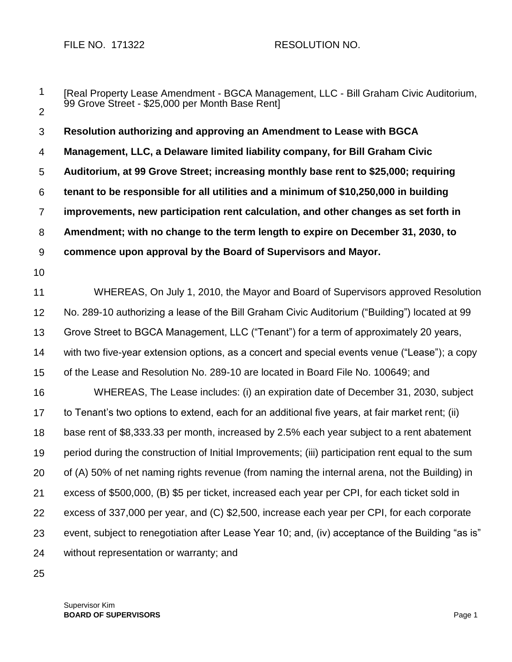FILE NO. 171322 RESOLUTION NO.

1 2 3 4 5 6 7 8 9 10 11 12 13 14 15 16 17 18 19 20 21 22 23 24 [Real Property Lease Amendment - BGCA Management, LLC - Bill Graham Civic Auditorium, 99 Grove Street - \$25,000 per Month Base Rent] **Resolution authorizing and approving an Amendment to Lease with BGCA Management, LLC, a Delaware limited liability company, for Bill Graham Civic Auditorium, at 99 Grove Street; increasing monthly base rent to \$25,000; requiring tenant to be responsible for all utilities and a minimum of \$10,250,000 in building improvements, new participation rent calculation, and other changes as set forth in Amendment; with no change to the term length to expire on December 31, 2030, to commence upon approval by the Board of Supervisors and Mayor.** WHEREAS, On July 1, 2010, the Mayor and Board of Supervisors approved Resolution No. 289-10 authorizing a lease of the Bill Graham Civic Auditorium ("Building") located at 99 Grove Street to BGCA Management, LLC ("Tenant") for a term of approximately 20 years, with two five-year extension options, as a concert and special events venue ("Lease"); a copy of the Lease and Resolution No. 289-10 are located in Board File No. 100649; and WHEREAS, The Lease includes: (i) an expiration date of December 31, 2030, subject to Tenant's two options to extend, each for an additional five years, at fair market rent; (ii) base rent of \$8,333.33 per month, increased by 2.5% each year subject to a rent abatement period during the construction of Initial Improvements; (iii) participation rent equal to the sum of (A) 50% of net naming rights revenue (from naming the internal arena, not the Building) in excess of \$500,000, (B) \$5 per ticket, increased each year per CPI, for each ticket sold in excess of 337,000 per year, and (C) \$2,500, increase each year per CPI, for each corporate event, subject to renegotiation after Lease Year 10; and, (iv) acceptance of the Building "as is" without representation or warranty; and

25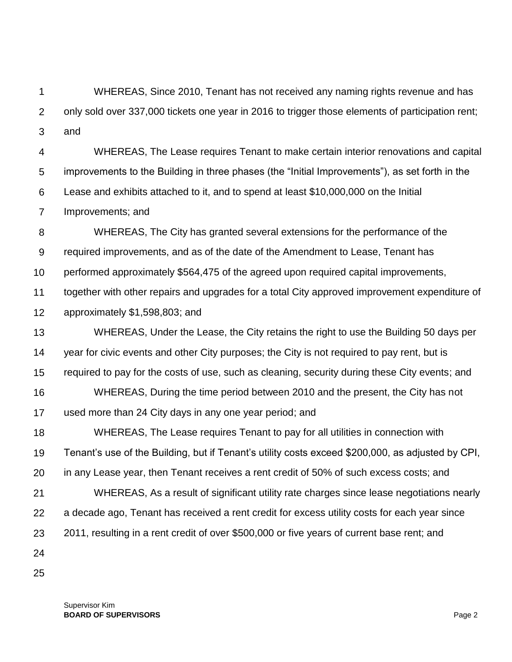1 2 3 WHEREAS, Since 2010, Tenant has not received any naming rights revenue and has only sold over 337,000 tickets one year in 2016 to trigger those elements of participation rent; and

4 5 6 7 WHEREAS, The Lease requires Tenant to make certain interior renovations and capital improvements to the Building in three phases (the "Initial Improvements"), as set forth in the Lease and exhibits attached to it, and to spend at least \$10,000,000 on the Initial Improvements; and

8 9 10 WHEREAS, The City has granted several extensions for the performance of the required improvements, and as of the date of the Amendment to Lease, Tenant has performed approximately \$564,475 of the agreed upon required capital improvements,

11 12 together with other repairs and upgrades for a total City approved improvement expenditure of approximately \$1,598,803; and

13 14 15 16 17 WHEREAS, Under the Lease, the City retains the right to use the Building 50 days per year for civic events and other City purposes; the City is not required to pay rent, but is required to pay for the costs of use, such as cleaning, security during these City events; and WHEREAS, During the time period between 2010 and the present, the City has not used more than 24 City days in any one year period; and

18 19 20 WHEREAS, The Lease requires Tenant to pay for all utilities in connection with Tenant's use of the Building, but if Tenant's utility costs exceed \$200,000, as adjusted by CPI, in any Lease year, then Tenant receives a rent credit of 50% of such excess costs; and

21 22 23 WHEREAS, As a result of significant utility rate charges since lease negotiations nearly a decade ago, Tenant has received a rent credit for excess utility costs for each year since 2011, resulting in a rent credit of over \$500,000 or five years of current base rent; and

24

25

Supervisor Kim **BOARD OF SUPERVISORS** Page 2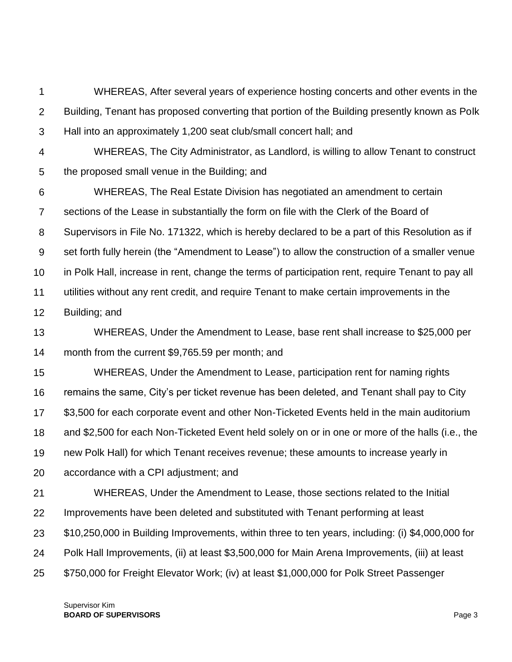1 2 3 WHEREAS, After several years of experience hosting concerts and other events in the Building, Tenant has proposed converting that portion of the Building presently known as Polk Hall into an approximately 1,200 seat club/small concert hall; and

4 5 WHEREAS, The City Administrator, as Landlord, is willing to allow Tenant to construct the proposed small venue in the Building; and

6 7 8 9 10 11 12 WHEREAS, The Real Estate Division has negotiated an amendment to certain sections of the Lease in substantially the form on file with the Clerk of the Board of Supervisors in File No. 171322, which is hereby declared to be a part of this Resolution as if set forth fully herein (the "Amendment to Lease") to allow the construction of a smaller venue in Polk Hall, increase in rent, change the terms of participation rent, require Tenant to pay all utilities without any rent credit, and require Tenant to make certain improvements in the Building; and

13 14 WHEREAS, Under the Amendment to Lease, base rent shall increase to \$25,000 per month from the current \$9,765.59 per month; and

15 16 17 18 19 20 WHEREAS, Under the Amendment to Lease, participation rent for naming rights remains the same, City's per ticket revenue has been deleted, and Tenant shall pay to City \$3,500 for each corporate event and other Non-Ticketed Events held in the main auditorium and \$2,500 for each Non-Ticketed Event held solely on or in one or more of the halls (i.e., the new Polk Hall) for which Tenant receives revenue; these amounts to increase yearly in accordance with a CPI adjustment; and

21 22 23 24 25 WHEREAS, Under the Amendment to Lease, those sections related to the Initial Improvements have been deleted and substituted with Tenant performing at least \$10,250,000 in Building Improvements, within three to ten years, including: (i) \$4,000,000 for Polk Hall Improvements, (ii) at least \$3,500,000 for Main Arena Improvements, (iii) at least \$750,000 for Freight Elevator Work; (iv) at least \$1,000,000 for Polk Street Passenger

Supervisor Kim **BOARD OF SUPERVISORS** Page 3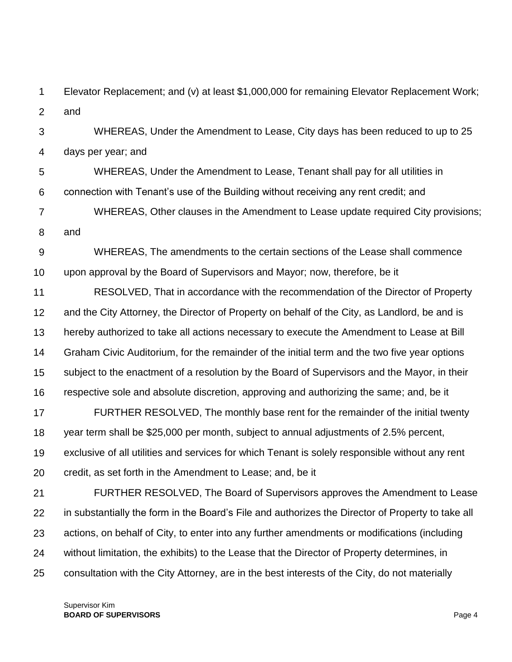1 2 Elevator Replacement; and (v) at least \$1,000,000 for remaining Elevator Replacement Work; and

3 4 WHEREAS, Under the Amendment to Lease, City days has been reduced to up to 25 days per year; and

5 6 WHEREAS, Under the Amendment to Lease, Tenant shall pay for all utilities in connection with Tenant's use of the Building without receiving any rent credit; and

7 8 WHEREAS, Other clauses in the Amendment to Lease update required City provisions; and

9 10 WHEREAS, The amendments to the certain sections of the Lease shall commence upon approval by the Board of Supervisors and Mayor; now, therefore, be it

11 12 13 14 15 16 RESOLVED, That in accordance with the recommendation of the Director of Property and the City Attorney, the Director of Property on behalf of the City, as Landlord, be and is hereby authorized to take all actions necessary to execute the Amendment to Lease at Bill Graham Civic Auditorium, for the remainder of the initial term and the two five year options subject to the enactment of a resolution by the Board of Supervisors and the Mayor, in their respective sole and absolute discretion, approving and authorizing the same; and, be it

17 18 19 20 FURTHER RESOLVED, The monthly base rent for the remainder of the initial twenty year term shall be \$25,000 per month, subject to annual adjustments of 2.5% percent, exclusive of all utilities and services for which Tenant is solely responsible without any rent credit, as set forth in the Amendment to Lease; and, be it

21 22 23 24 25 FURTHER RESOLVED, The Board of Supervisors approves the Amendment to Lease in substantially the form in the Board's File and authorizes the Director of Property to take all actions, on behalf of City, to enter into any further amendments or modifications (including without limitation, the exhibits) to the Lease that the Director of Property determines, in consultation with the City Attorney, are in the best interests of the City, do not materially

Supervisor Kim **BOARD OF SUPERVISORS** Page 4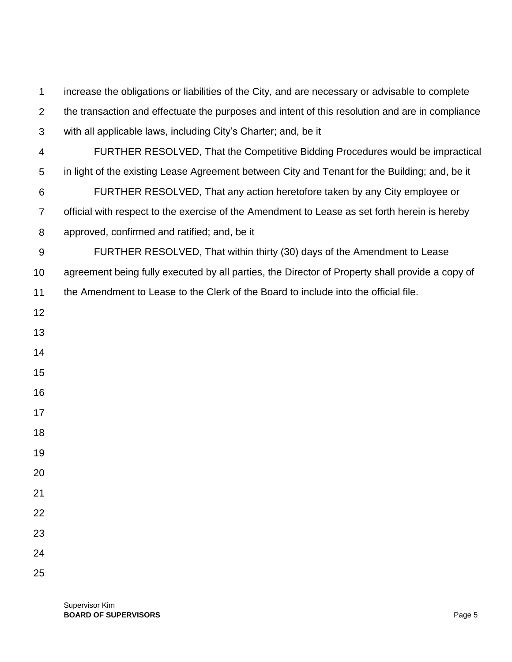increase the obligations or liabilities of the City, and are necessary or advisable to complete the transaction and effectuate the purposes and intent of this resolution and are in compliance with all applicable laws, including City's Charter; and, be it FURTHER RESOLVED, That the Competitive Bidding Procedures would be impractical in light of the existing Lease Agreement between City and Tenant for the Building; and, be it FURTHER RESOLVED, That any action heretofore taken by any City employee or official with respect to the exercise of the Amendment to Lease as set forth herein is hereby approved, confirmed and ratified; and, be it FURTHER RESOLVED, That within thirty (30) days of the Amendment to Lease agreement being fully executed by all parties, the Director of Property shall provide a copy of the Amendment to Lease to the Clerk of the Board to include into the official file.